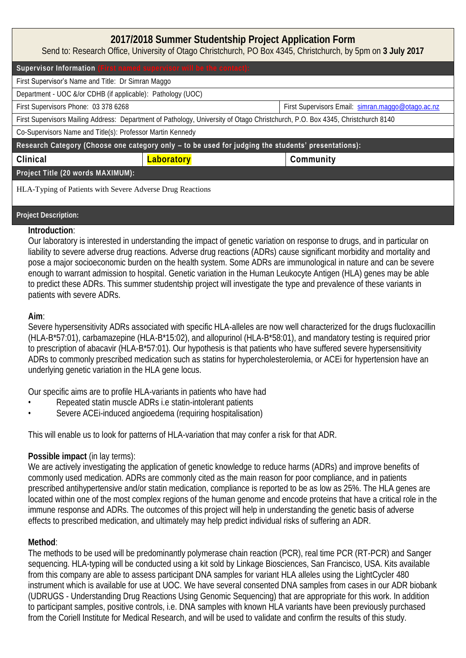| 2017/2018 Summer Studentship Project Application Form<br>Send to: Research Office, University of Otago Christchurch, PO Box 4345, Christchurch, by 5pm on 3 July 2017 |            |                                                   |  |  |
|-----------------------------------------------------------------------------------------------------------------------------------------------------------------------|------------|---------------------------------------------------|--|--|
| Supervisor Information (First named supervisor will be the contact):                                                                                                  |            |                                                   |  |  |
| First Supervisor's Name and Title: Dr Simran Maggo                                                                                                                    |            |                                                   |  |  |
| Department - UOC &/or CDHB (if applicable): Pathology (UOC)                                                                                                           |            |                                                   |  |  |
| First Supervisors Phone: 03 378 6268                                                                                                                                  |            | First Supervisors Email: simran.maggo@otago.ac.nz |  |  |
| First Supervisors Mailing Address: Department of Pathology, University of Otago Christchurch, P.O. Box 4345, Christchurch 8140                                        |            |                                                   |  |  |
| Co-Supervisors Name and Title(s): Professor Martin Kennedy                                                                                                            |            |                                                   |  |  |
| Research Category (Choose one category only - to be used for judging the students' presentations):                                                                    |            |                                                   |  |  |
| Clinical                                                                                                                                                              | Laboratory | Community                                         |  |  |
| Project Title (20 words MAXIMUM):                                                                                                                                     |            |                                                   |  |  |
| HLA-Typing of Patients with Severe Adverse Drug Reactions                                                                                                             |            |                                                   |  |  |

## **Project Description:**

## **Introduction**:

Our laboratory is interested in understanding the impact of genetic variation on response to drugs, and in particular on liability to severe adverse drug reactions. Adverse drug reactions (ADRs) cause significant morbidity and mortality and pose a major socioeconomic burden on the health system. Some ADRs are immunological in nature and can be severe enough to warrant admission to hospital. Genetic variation in the Human Leukocyte Antigen (HLA) genes may be able to predict these ADRs. This summer studentship project will investigate the type and prevalence of these variants in patients with severe ADRs.

# **Aim**:

Severe hypersensitivity ADRs associated with specific HLA-alleles are now well characterized for the drugs flucloxacillin (HLA-B\*57:01), carbamazepine (HLA-B\*15:02), and allopurinol (HLA-B\*58:01), and mandatory testing is required prior to prescription of abacavir (HLA-B\*57:01). Our hypothesis is that patients who have suffered severe hypersensitivity ADRs to commonly prescribed medication such as statins for hypercholesterolemia, or ACEi for hypertension have an underlying genetic variation in the HLA gene locus.

Our specific aims are to profile HLA-variants in patients who have had

- Repeated statin muscle ADRs i.e statin-intolerant patients
- Severe ACEi-induced angioedema (requiring hospitalisation)

This will enable us to look for patterns of HLA-variation that may confer a risk for that ADR.

# **Possible impact** (in lay terms):

We are actively investigating the application of genetic knowledge to reduce harms (ADRs) and improve benefits of commonly used medication. ADRs are commonly cited as the main reason for poor compliance, and in patients prescribed antihypertensive and/or statin medication, compliance is reported to be as low as 25%. The HLA genes are located within one of the most complex regions of the human genome and encode proteins that have a critical role in the immune response and ADRs. The outcomes of this project will help in understanding the genetic basis of adverse effects to prescribed medication, and ultimately may help predict individual risks of suffering an ADR.

# **Method**:

The methods to be used will be predominantly polymerase chain reaction (PCR), real time PCR (RT-PCR) and Sanger sequencing. HLA-typing will be conducted using a kit sold by Linkage Biosciences, San Francisco, USA. Kits available from this company are able to assess participant DNA samples for variant HLA alleles using the LightCycler 480 instrument which is available for use at UOC. We have several consented DNA samples from cases in our ADR biobank (UDRUGS - Understanding Drug Reactions Using Genomic Sequencing) that are appropriate for this work. In addition to participant samples, positive controls, i.e. DNA samples with known HLA variants have been previously purchased from the Coriell Institute for Medical Research, and will be used to validate and confirm the results of this study.